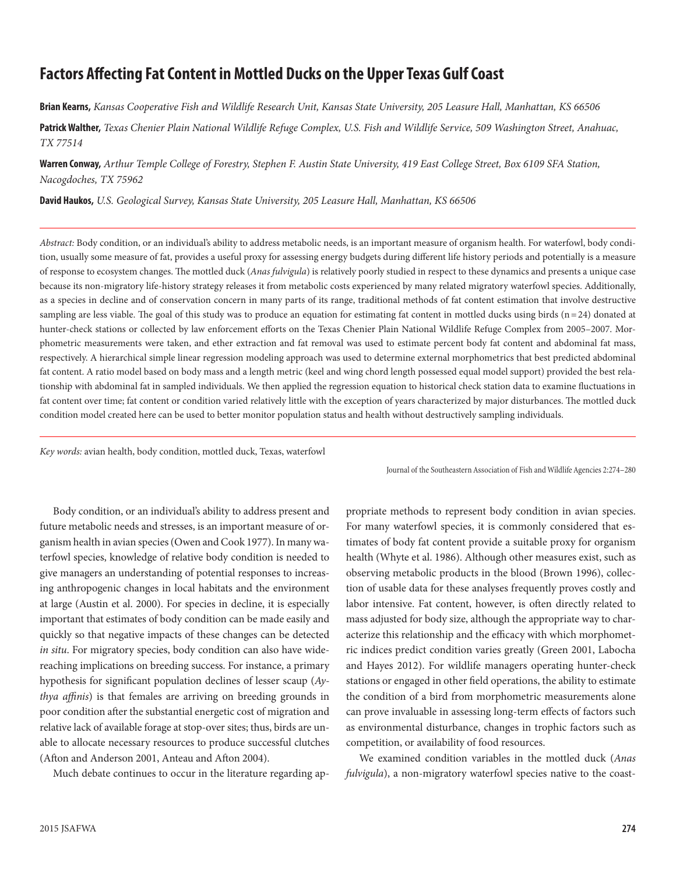# **Factors Affecting Fat Content in Mottled Ducks on the Upper Texas Gulf Coast**

**Brian Kearns,** *Kansas Cooperative Fish and Wildlife Research Unit, Kansas State University, 205 Leasure Hall, Manhattan, KS 66506*

**Patrick Walther,** *Texas Chenier Plain National Wildlife Refuge Complex, U.S. Fish and Wildlife Service, 509 Washington Street, Anahuac, TX 77514*

**Warren Conway,** *Arthur Temple College of Forestry, Stephen F. Austin State University, 419 East College Street, Box 6109 SFA Station, Nacogdoches, TX 75962*

**David Haukos,** *U.S. Geological Survey, Kansas State University, 205 Leasure Hall, Manhattan, KS 66506*

*Abstract:* Body condition, or an individual's ability to address metabolic needs, is an important measure of organism health. For waterfowl, body condition, usually some measure of fat, provides a useful proxy for assessing energy budgets during different life history periods and potentially is a measure of response to ecosystem changes. The mottled duck (*Anas fulvigula*) is relatively poorly studied in respect to these dynamics and presents a unique case because its non-migratory life-history strategy releases it from metabolic costs experienced by many related migratory waterfowl species. Additionally, as a species in decline and of conservation concern in many parts of its range, traditional methods of fat content estimation that involve destructive sampling are less viable. The goal of this study was to produce an equation for estimating fat content in mottled ducks using birds  $(n=24)$  donated at hunter-check stations or collected by law enforcement efforts on the Texas Chenier Plain National Wildlife Refuge Complex from 2005–2007. Morphometric measurements were taken, and ether extraction and fat removal was used to estimate percent body fat content and abdominal fat mass, respectively. A hierarchical simple linear regression modeling approach was used to determine external morphometrics that best predicted abdominal fat content. A ratio model based on body mass and a length metric (keel and wing chord length possessed equal model support) provided the best relationship with abdominal fat in sampled individuals. We then applied the regression equation to historical check station data to examine fluctuations in fat content over time; fat content or condition varied relatively little with the exception of years characterized by major disturbances. The mottled duck condition model created here can be used to better monitor population status and health without destructively sampling individuals.

*Key words:* avian health, body condition, mottled duck, Texas, waterfowl

Journal of the Southeastern Association of Fish and Wildlife Agencies 2:274–280

Body condition, or an individual's ability to address present and future metabolic needs and stresses, is an important measure of organism health in avian species (Owen and Cook 1977). In many waterfowl species, knowledge of relative body condition is needed to give managers an understanding of potential responses to increasing anthropogenic changes in local habitats and the environment at large (Austin et al. 2000). For species in decline, it is especially important that estimates of body condition can be made easily and quickly so that negative impacts of these changes can be detected *in situ*. For migratory species, body condition can also have widereaching implications on breeding success. For instance, a primary hypothesis for significant population declines of lesser scaup (*Aythya affinis*) is that females are arriving on breeding grounds in poor condition after the substantial energetic cost of migration and relative lack of available forage at stop-over sites; thus, birds are unable to allocate necessary resources to produce successful clutches (Afton and Anderson 2001, Anteau and Afton 2004).

Much debate continues to occur in the literature regarding ap-

propriate methods to represent body condition in avian species. For many waterfowl species, it is commonly considered that estimates of body fat content provide a suitable proxy for organism health (Whyte et al. 1986). Although other measures exist, such as observing metabolic products in the blood (Brown 1996), collection of usable data for these analyses frequently proves costly and labor intensive. Fat content, however, is often directly related to mass adjusted for body size, although the appropriate way to characterize this relationship and the efficacy with which morphometric indices predict condition varies greatly (Green 2001, Labocha and Hayes 2012). For wildlife managers operating hunter-check stations or engaged in other field operations, the ability to estimate the condition of a bird from morphometric measurements alone can prove invaluable in assessing long-term effects of factors such as environmental disturbance, changes in trophic factors such as competition, or availability of food resources.

We examined condition variables in the mottled duck (*Anas fulvigula*), a non-migratory waterfowl species native to the coast-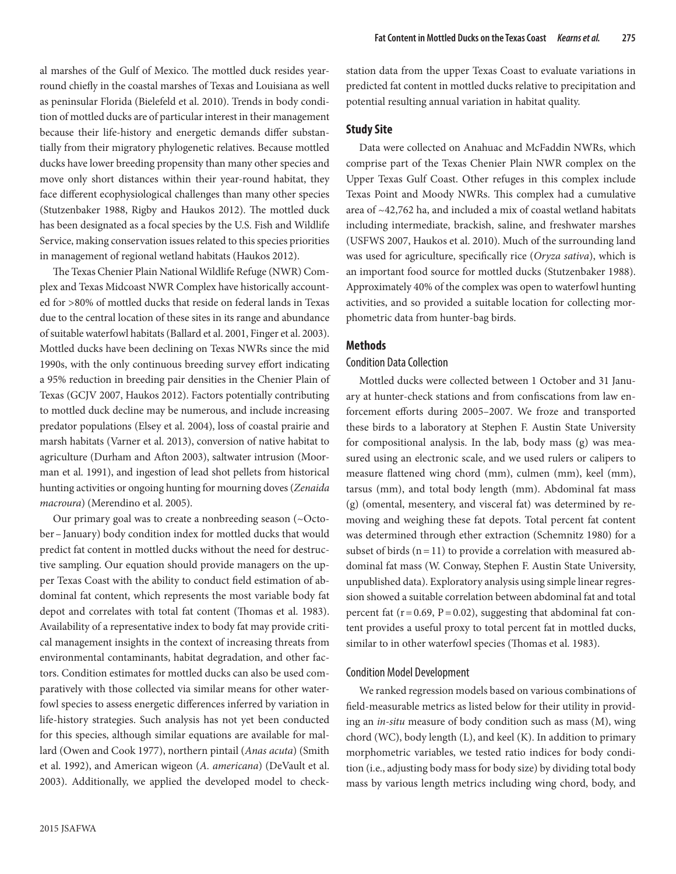al marshes of the Gulf of Mexico. The mottled duck resides yearround chiefly in the coastal marshes of Texas and Louisiana as well as peninsular Florida (Bielefeld et al. 2010). Trends in body condition of mottled ducks are of particular interest in their management because their life-history and energetic demands differ substantially from their migratory phylogenetic relatives. Because mottled ducks have lower breeding propensity than many other species and move only short distances within their year-round habitat, they face different ecophysiological challenges than many other species (Stutzenbaker 1988, Rigby and Haukos 2012). The mottled duck has been designated as a focal species by the U.S. Fish and Wildlife Service, making conservation issues related to this species priorities in management of regional wetland habitats (Haukos 2012).

The Texas Chenier Plain National Wildlife Refuge (NWR) Complex and Texas Midcoast NWR Complex have historically accounted for >80% of mottled ducks that reside on federal lands in Texas due to the central location of these sites in its range and abundance of suitable waterfowl habitats (Ballard et al. 2001, Finger et al. 2003). Mottled ducks have been declining on Texas NWRs since the mid 1990s, with the only continuous breeding survey effort indicating a 95% reduction in breeding pair densities in the Chenier Plain of Texas (GCJV 2007, Haukos 2012). Factors potentially contributing to mottled duck decline may be numerous, and include increasing predator populations (Elsey et al. 2004), loss of coastal prairie and marsh habitats (Varner et al. 2013), conversion of native habitat to agriculture (Durham and Afton 2003), saltwater intrusion (Moorman et al. 1991), and ingestion of lead shot pellets from historical hunting activities or ongoing hunting for mourning doves (*Zenaida macroura*) (Merendino et al. 2005).

Our primary goal was to create a nonbreeding season (~October–January) body condition index for mottled ducks that would predict fat content in mottled ducks without the need for destructive sampling. Our equation should provide managers on the upper Texas Coast with the ability to conduct field estimation of abdominal fat content, which represents the most variable body fat depot and correlates with total fat content (Thomas et al. 1983). Availability of a representative index to body fat may provide critical management insights in the context of increasing threats from environmental contaminants, habitat degradation, and other factors. Condition estimates for mottled ducks can also be used comparatively with those collected via similar means for other waterfowl species to assess energetic differences inferred by variation in life-history strategies. Such analysis has not yet been conducted for this species, although similar equations are available for mallard (Owen and Cook 1977), northern pintail (*Anas acuta*) (Smith et al. 1992), and American wigeon (*A. americana*) (DeVault et al. 2003). Additionally, we applied the developed model to checkstation data from the upper Texas Coast to evaluate variations in predicted fat content in mottled ducks relative to precipitation and potential resulting annual variation in habitat quality.

## **Study Site**

Data were collected on Anahuac and McFaddin NWRs, which comprise part of the Texas Chenier Plain NWR complex on the Upper Texas Gulf Coast. Other refuges in this complex include Texas Point and Moody NWRs. This complex had a cumulative area of ~42,762 ha, and included a mix of coastal wetland habitats including intermediate, brackish, saline, and freshwater marshes (USFWS 2007, Haukos et al. 2010). Much of the surrounding land was used for agriculture, specifically rice (*Oryza sativa*), which is an important food source for mottled ducks (Stutzenbaker 1988). Approximately 40% of the complex was open to waterfowl hunting activities, and so provided a suitable location for collecting morphometric data from hunter-bag birds.

#### **Methods**

#### Condition Data Collection

Mottled ducks were collected between 1 October and 31 January at hunter-check stations and from confiscations from law enforcement efforts during 2005–2007. We froze and transported these birds to a laboratory at Stephen F. Austin State University for compositional analysis. In the lab, body mass (g) was measured using an electronic scale, and we used rulers or calipers to measure flattened wing chord (mm), culmen (mm), keel (mm), tarsus (mm), and total body length (mm). Abdominal fat mass (g) (omental, mesentery, and visceral fat) was determined by removing and weighing these fat depots. Total percent fat content was determined through ether extraction (Schemnitz 1980) for a subset of birds  $(n=11)$  to provide a correlation with measured abdominal fat mass (W. Conway, Stephen F. Austin State University, unpublished data). Exploratory analysis using simple linear regression showed a suitable correlation between abdominal fat and total percent fat  $(r=0.69, P=0.02)$ , suggesting that abdominal fat content provides a useful proxy to total percent fat in mottled ducks, similar to in other waterfowl species (Thomas et al. 1983).

## Condition Model Development

We ranked regression models based on various combinations of field-measurable metrics as listed below for their utility in providing an *in-situ* measure of body condition such as mass (M), wing chord (WC), body length (L), and keel (K). In addition to primary morphometric variables, we tested ratio indices for body condition (i.e., adjusting body mass for body size) by dividing total body mass by various length metrics including wing chord, body, and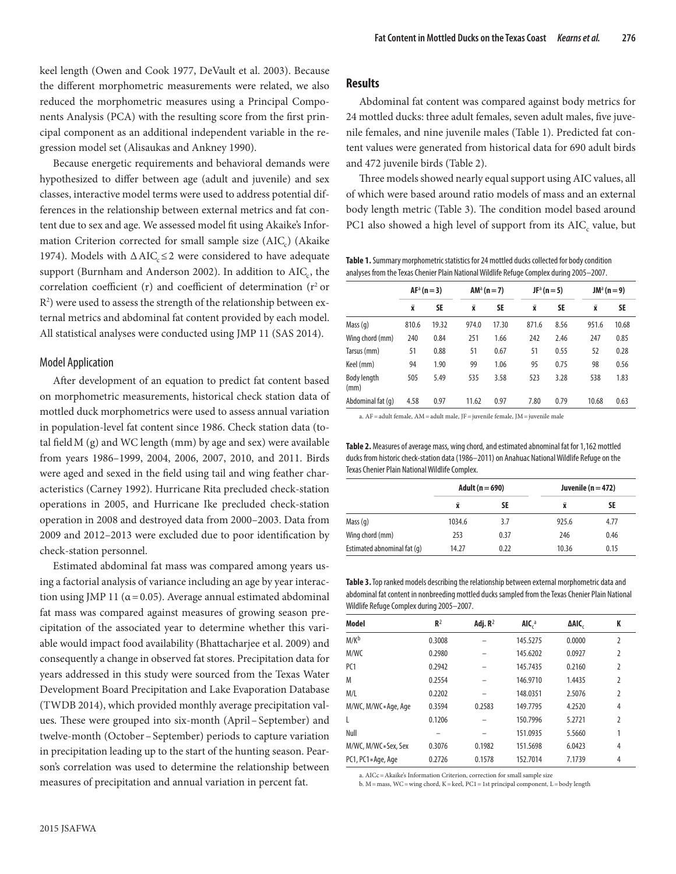keel length (Owen and Cook 1977, DeVault et al. 2003). Because the different morphometric measurements were related, we also reduced the morphometric measures using a Principal Components Analysis (PCA) with the resulting score from the first principal component as an additional independent variable in the regression model set (Alisaukas and Ankney 1990).

Because energetic requirements and behavioral demands were hypothesized to differ between age (adult and juvenile) and sex classes, interactive model terms were used to address potential differences in the relationship between external metrics and fat content due to sex and age. We assessed model fit using Akaike's Information Criterion corrected for small sample size (AIC<sub>c</sub>) (Akaike 1974). Models with  $\Delta AIC \leq 2$  were considered to have adequate support (Burnham and Anderson 2002). In addition to AIC<sub>c</sub>, the correlation coefficient (r) and coefficient of determination ( $r^2$  or  $\mathbb{R}^2$ ) were used to assess the strength of the relationship between external metrics and abdominal fat content provided by each model. All statistical analyses were conducted using JMP 11 (SAS 2014).

## Model Application

After development of an equation to predict fat content based on morphometric measurements, historical check station data of mottled duck morphometrics were used to assess annual variation in population-level fat content since 1986. Check station data (total field  $M$  (g) and WC length (mm) by age and sex) were available from years 1986–1999, 2004, 2006, 2007, 2010, and 2011. Birds were aged and sexed in the field using tail and wing feather characteristics (Carney 1992). Hurricane Rita precluded check-station operations in 2005, and Hurricane Ike precluded check-station operation in 2008 and destroyed data from 2000–2003. Data from 2009 and 2012–2013 were excluded due to poor identification by check-station personnel.

Estimated abdominal fat mass was compared among years using a factorial analysis of variance including an age by year interaction using JMP 11 ( $\alpha$  = 0.05). Average annual estimated abdominal fat mass was compared against measures of growing season precipitation of the associated year to determine whether this variable would impact food availability (Bhattacharjee et al. 2009) and consequently a change in observed fat stores. Precipitation data for years addressed in this study were sourced from the Texas Water Development Board Precipitation and Lake Evaporation Database (TWDB 2014), which provided monthly average precipitation values. These were grouped into six-month (April–September) and twelve-month (October–September) periods to capture variation in precipitation leading up to the start of the hunting season. Pearson's correlation was used to determine the relationship between measures of precipitation and annual variation in percent fat.

#### **Results**

Abdominal fat content was compared against body metrics for 24 mottled ducks: three adult females, seven adult males, five juvenile females, and nine juvenile males (Table 1). Predicted fat content values were generated from historical data for 690 adult birds and 472 juvenile birds (Table 2).

Three models showed nearly equal support using AIC values, all of which were based around ratio models of mass and an external body length metric (Table 3). The condition model based around PC1 also showed a high level of support from its AIC, value, but

**Table 1.** Summary morphometric statistics for 24 mottled ducks collected for body condition analyses from the Texas Chenier Plain National Wildlife Refuge Complex during 2005–2007.

|                     | $AFa$ (n = 3)      |       | $AM^a(n=7)$        |           | $JF^a(n=5)$ |           | $JM^a(n=9)$        |       |
|---------------------|--------------------|-------|--------------------|-----------|-------------|-----------|--------------------|-------|
|                     | $\bar{\mathbf{x}}$ | SE    | $\bar{\mathbf{x}}$ | <b>SE</b> | Χī          | <b>SE</b> | $\bar{\mathbf{x}}$ | SE    |
| Mass $(q)$          | 810.6              | 19.32 | 974.0              | 17.30     | 871.6       | 8.56      | 951.6              | 10.68 |
| Wing chord (mm)     | 240                | 0.84  | 251                | 1.66      | 242         | 2.46      | 247                | 0.85  |
| Tarsus (mm)         | 51                 | 0.88  | 51                 | 0.67      | 51          | 0.55      | 52                 | 0.28  |
| Keel (mm)           | 94                 | 1.90  | 99                 | 1.06      | 95          | 0.75      | 98                 | 0.56  |
| Body length<br>(mm) | 505                | 5.49  | 535                | 3.58      | 523         | 3.28      | 538                | 1.83  |
| Abdominal fat (q)   | 4.58               | 0.97  | 11.62              | 0.97      | 7.80        | 0.79      | 10.68              | 0.63  |

a. AF=adult female, AM=adult male, JF=juvenile female, JM=juvenile male

**Table 2.** Measures of average mass, wing chord, and estimated abnominal fat for 1,162 mottled ducks from historic check-station data (1986–2011) on Anahuac National Wildlife Refuge on the Texas Chenier Plain National Wildlife Complex.

|                             | Adult ( $n = 690$ ) |      | Juvenile ( $n = 472$ ) |      |  |
|-----------------------------|---------------------|------|------------------------|------|--|
|                             | x                   | SE   | x                      | SE   |  |
| Mass $(q)$                  | 1034.6              | 3.7  | 925.6                  | 4.77 |  |
| Wing chord (mm)             | 253                 | 0.37 | 246                    | 0.46 |  |
| Estimated abnominal fat (q) | 14.27               | 0.22 | 10.36                  | 0.15 |  |

**Table 3.** Top ranked models describing the relationship between external morphometric data and abdominal fat content in nonbreeding mottled ducks sampled from the Texas Chenier Plain National Wildlife Refuge Complex during 2005–2007.

| <b>Model</b>        | $R^2$  | Adj. $R^2$ | AIC <sub>c</sub> | ΔAIC,  | K |
|---------------------|--------|------------|------------------|--------|---|
| M/K <sup>b</sup>    | 0.3008 |            | 145.5275         | 0.0000 | 2 |
| M/WC                | 0.2980 |            | 145.6202         | 0.0927 | 2 |
| PC <sub>1</sub>     | 0.2942 |            | 145.7435         | 0.2160 | 2 |
| M                   | 0.2554 |            | 146.9710         | 1.4435 | 2 |
| M/L                 | 0.2202 |            | 148.0351         | 2.5076 | 2 |
| M/WC, M/WC*Age, Age | 0.3594 | 0.2583     | 149.7795         | 4.2520 | 4 |
| L                   | 0.1206 |            | 150.7996         | 5.2721 | 2 |
| Null                |        |            | 151.0935         | 5.5660 | 1 |
| M/WC, M/WC*Sex, Sex | 0.3076 | 0.1982     | 151.5698         | 6.0423 | 4 |
| PC1, PC1*Age, Age   | 0.2726 | 0.1578     | 152.7014         | 7.1739 | 4 |

a. AICc=Akaike's Information Criterion, correction for small sample size

b. M=mass, WC=wing chord, K=keel, PC1=1st principal component, L=body length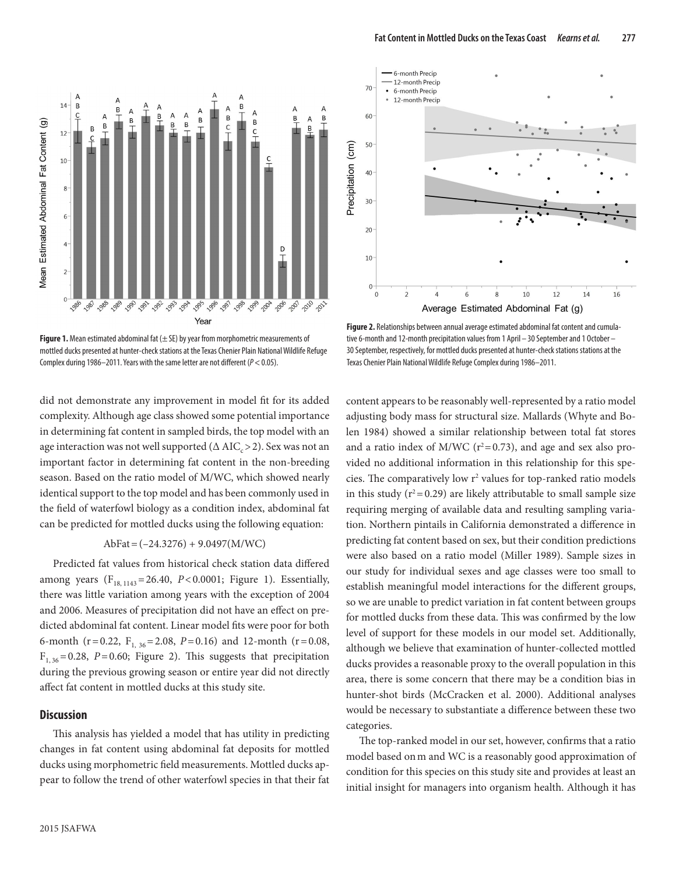

Figure 1. Mean estimated abdominal fat ( $\pm$  SE) by year from morphometric measurements of mottled ducks presented at hunter-check stations at the Texas Chenier Plain National Wildlife Refuge Complex during 1986–2011. Years with the same letter are not different (*P*<0.05).

did not demonstrate any improvement in model fit for its added complexity. Although age class showed some potential importance in determining fat content in sampled birds, the top model with an age interaction was not well supported  $(Δ AIC<sub>c</sub> > 2)$ . Sex was not an important factor in determining fat content in the non-breeding season. Based on the ratio model of M/WC, which showed nearly identical support to the top model and has been commonly used in the field of waterfowl biology as a condition index, abdominal fat can be predicted for mottled ducks using the following equation:

### $AbFat = (-24.3276) + 9.0497(M/WC)$

Predicted fat values from historical check station data differed among years  $(F_{18, 1143} = 26.40, P < 0.0001;$  Figure 1). Essentially, there was little variation among years with the exception of 2004 and 2006. Measures of precipitation did not have an effect on predicted abdominal fat content. Linear model fits were poor for both 6-month ( $r=0.22$ ,  $F_{1, 36}=2.08$ ,  $P=0.16$ ) and 12-month ( $r=0.08$ ,  $F<sub>1, 36</sub> = 0.28, P = 0.60;$  Figure 2). This suggests that precipitation during the previous growing season or entire year did not directly affect fat content in mottled ducks at this study site.

#### **Discussion**

This analysis has yielded a model that has utility in predicting changes in fat content using abdominal fat deposits for mottled ducks using morphometric field measurements. Mottled ducks appear to follow the trend of other waterfowl species in that their fat



**Figure 2.** Relationships between annual average estimated abdominal fat content and cumulative 6-month and 12-month precipitation values from 1 April – 30 September and 1 October – 30 September, respectively, for mottled ducks presented at hunter-check stations stations at the Texas Chenier Plain National Wildlife Refuge Complex during 1986–2011.

content appears to be reasonably well-represented by a ratio model adjusting body mass for structural size. Mallards (Whyte and Bolen 1984) showed a similar relationship between total fat stores and a ratio index of M/WC ( $r^2$ =0.73), and age and sex also provided no additional information in this relationship for this species. The comparatively low r<sup>2</sup> values for top-ranked ratio models in this study  $(r^2 = 0.29)$  are likely attributable to small sample size requiring merging of available data and resulting sampling variation. Northern pintails in California demonstrated a difference in predicting fat content based on sex, but their condition predictions were also based on a ratio model (Miller 1989). Sample sizes in our study for individual sexes and age classes were too small to establish meaningful model interactions for the different groups, so we are unable to predict variation in fat content between groups for mottled ducks from these data. This was confirmed by the low level of support for these models in our model set. Additionally, although we believe that examination of hunter-collected mottled ducks provides a reasonable proxy to the overall population in this area, there is some concern that there may be a condition bias in hunter-shot birds (McCracken et al. 2000). Additional analyses would be necessary to substantiate a difference between these two categories.

The top-ranked model in our set, however, confirms that a ratio model based onm and WC is a reasonably good approximation of condition for this species on this study site and provides at least an initial insight for managers into organism health. Although it has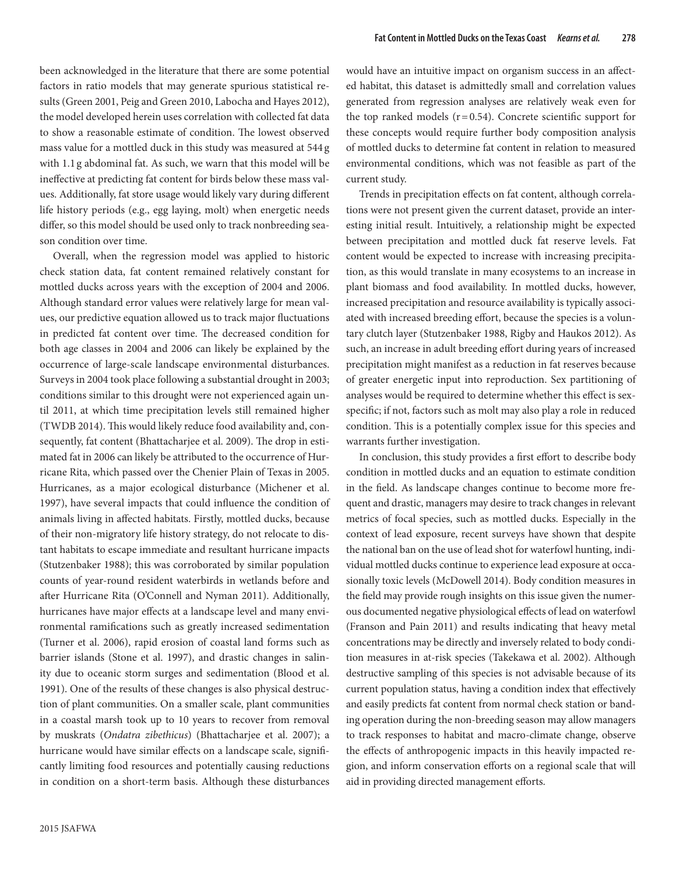been acknowledged in the literature that there are some potential factors in ratio models that may generate spurious statistical results (Green 2001, Peig and Green 2010, Labocha and Hayes 2012), the model developed herein uses correlation with collected fat data to show a reasonable estimate of condition. The lowest observed mass value for a mottled duck in this study was measured at 544 g with 1.1 g abdominal fat. As such, we warn that this model will be ineffective at predicting fat content for birds below these mass values. Additionally, fat store usage would likely vary during different life history periods (e.g., egg laying, molt) when energetic needs differ, so this model should be used only to track nonbreeding season condition over time.

Overall, when the regression model was applied to historic check station data, fat content remained relatively constant for mottled ducks across years with the exception of 2004 and 2006. Although standard error values were relatively large for mean values, our predictive equation allowed us to track major fluctuations in predicted fat content over time. The decreased condition for both age classes in 2004 and 2006 can likely be explained by the occurrence of large-scale landscape environmental disturbances. Surveys in 2004 took place following a substantial drought in 2003; conditions similar to this drought were not experienced again until 2011, at which time precipitation levels still remained higher (TWDB 2014). This would likely reduce food availability and, consequently, fat content (Bhattacharjee et al. 2009). The drop in estimated fat in 2006 can likely be attributed to the occurrence of Hurricane Rita, which passed over the Chenier Plain of Texas in 2005. Hurricanes, as a major ecological disturbance (Michener et al. 1997), have several impacts that could influence the condition of animals living in affected habitats. Firstly, mottled ducks, because of their non-migratory life history strategy, do not relocate to distant habitats to escape immediate and resultant hurricane impacts (Stutzenbaker 1988); this was corroborated by similar population counts of year-round resident waterbirds in wetlands before and after Hurricane Rita (O'Connell and Nyman 2011). Additionally, hurricanes have major effects at a landscape level and many environmental ramifications such as greatly increased sedimentation (Turner et al. 2006), rapid erosion of coastal land forms such as barrier islands (Stone et al. 1997), and drastic changes in salinity due to oceanic storm surges and sedimentation (Blood et al. 1991). One of the results of these changes is also physical destruction of plant communities. On a smaller scale, plant communities in a coastal marsh took up to 10 years to recover from removal by muskrats (*Ondatra zibethicus*) (Bhattacharjee et al. 2007); a hurricane would have similar effects on a landscape scale, significantly limiting food resources and potentially causing reductions in condition on a short-term basis. Although these disturbances

would have an intuitive impact on organism success in an affected habitat, this dataset is admittedly small and correlation values generated from regression analyses are relatively weak even for the top ranked models  $(r=0.54)$ . Concrete scientific support for these concepts would require further body composition analysis of mottled ducks to determine fat content in relation to measured environmental conditions, which was not feasible as part of the current study.

Trends in precipitation effects on fat content, although correlations were not present given the current dataset, provide an interesting initial result. Intuitively, a relationship might be expected between precipitation and mottled duck fat reserve levels. Fat content would be expected to increase with increasing precipitation, as this would translate in many ecosystems to an increase in plant biomass and food availability. In mottled ducks, however, increased precipitation and resource availability is typically associated with increased breeding effort, because the species is a voluntary clutch layer (Stutzenbaker 1988, Rigby and Haukos 2012). As such, an increase in adult breeding effort during years of increased precipitation might manifest as a reduction in fat reserves because of greater energetic input into reproduction. Sex partitioning of analyses would be required to determine whether this effect is sexspecific; if not, factors such as molt may also play a role in reduced condition. This is a potentially complex issue for this species and warrants further investigation.

In conclusion, this study provides a first effort to describe body condition in mottled ducks and an equation to estimate condition in the field. As landscape changes continue to become more frequent and drastic, managers may desire to track changes in relevant metrics of focal species, such as mottled ducks. Especially in the context of lead exposure, recent surveys have shown that despite the national ban on the use of lead shot for waterfowl hunting, individual mottled ducks continue to experience lead exposure at occasionally toxic levels (McDowell 2014). Body condition measures in the field may provide rough insights on this issue given the numerous documented negative physiological effects of lead on waterfowl (Franson and Pain 2011) and results indicating that heavy metal concentrations may be directly and inversely related to body condition measures in at-risk species (Takekawa et al. 2002). Although destructive sampling of this species is not advisable because of its current population status, having a condition index that effectively and easily predicts fat content from normal check station or banding operation during the non-breeding season may allow managers to track responses to habitat and macro-climate change, observe the effects of anthropogenic impacts in this heavily impacted region, and inform conservation efforts on a regional scale that will aid in providing directed management efforts.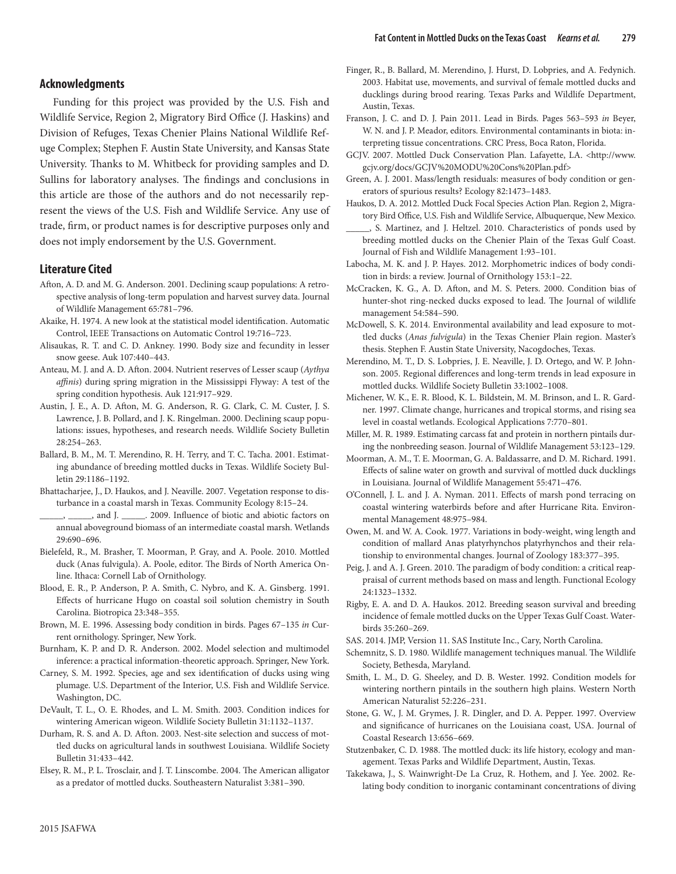## **Acknowledgments**

Funding for this project was provided by the U.S. Fish and Wildlife Service, Region 2, Migratory Bird Office (J. Haskins) and Division of Refuges, Texas Chenier Plains National Wildlife Refuge Complex; Stephen F. Austin State University, and Kansas State University. Thanks to M. Whitbeck for providing samples and D. Sullins for laboratory analyses. The findings and conclusions in this article are those of the authors and do not necessarily represent the views of the U.S. Fish and Wildlife Service. Any use of trade, firm, or product names is for descriptive purposes only and does not imply endorsement by the U.S. Government.

## **Literature Cited**

- Afton, A. D. and M. G. Anderson. 2001. Declining scaup populations: A retrospective analysis of long-term population and harvest survey data. Journal of Wildlife Management 65:781–796.
- Akaike, H. 1974. A new look at the statistical model identification. Automatic Control, IEEE Transactions on Automatic Control 19:716–723.
- Alisaukas, R. T. and C. D. Ankney. 1990. Body size and fecundity in lesser snow geese. Auk 107:440–443.
- Anteau, M. J. and A. D. Afton. 2004. Nutrient reserves of Lesser scaup (*Aythya affinis*) during spring migration in the Mississippi Flyway: A test of the spring condition hypothesis. Auk 121:917–929.
- Austin, J. E., A. D. Afton, M. G. Anderson, R. G. Clark, C. M. Custer, J. S. Lawrence, J. B. Pollard, and J. K. Ringelman. 2000. Declining scaup populations: issues, hypotheses, and research needs. Wildlife Society Bulletin 28:254–263.
- Ballard, B. M., M. T. Merendino, R. H. Terry, and T. C. Tacha. 2001. Estimating abundance of breeding mottled ducks in Texas. Wildlife Society Bulletin 29:1186–1192.
- Bhattacharjee, J., D. Haukos, and J. Neaville. 2007. Vegetation response to disturbance in a coastal marsh in Texas. Community Ecology 8:15–24.
- \_\_\_\_\_, \_\_\_\_\_, and J. \_\_\_\_\_. 2009. Influence of biotic and abiotic factors on annual aboveground biomass of an intermediate coastal marsh. Wetlands 29:690–696.
- Bielefeld, R., M. Brasher, T. Moorman, P. Gray, and A. Poole. 2010. Mottled duck (Anas fulvigula). A. Poole, editor. The Birds of North America Online. Ithaca: Cornell Lab of Ornithology.
- Blood, E. R., P. Anderson, P. A. Smith, C. Nybro, and K. A. Ginsberg. 1991. Effects of hurricane Hugo on coastal soil solution chemistry in South Carolina. Biotropica 23:348–355.
- Brown, M. E. 1996. Assessing body condition in birds. Pages 67–135 *in* Current ornithology. Springer, New York.
- Burnham, K. P. and D. R. Anderson. 2002. Model selection and multimodel inference: a practical information-theoretic approach. Springer, New York.
- Carney, S. M. 1992. Species, age and sex identification of ducks using wing plumage. U.S. Department of the Interior, U.S. Fish and Wildlife Service. Washington, DC.
- DeVault, T. L., O. E. Rhodes, and L. M. Smith. 2003. Condition indices for wintering American wigeon. Wildlife Society Bulletin 31:1132–1137.
- Durham, R. S. and A. D. Afton. 2003. Nest-site selection and success of mottled ducks on agricultural lands in southwest Louisiana. Wildlife Society Bulletin 31:433–442.

Elsey, R. M., P. L. Trosclair, and J. T. Linscombe. 2004. The American alligator as a predator of mottled ducks. Southeastern Naturalist 3:381–390.

- Finger, R., B. Ballard, M. Merendino, J. Hurst, D. Lobpries, and A. Fedynich. 2003. Habitat use, movements, and survival of female mottled ducks and ducklings during brood rearing. Texas Parks and Wildlife Department, Austin, Texas.
- Franson, J. C. and D. J. Pain 2011. Lead in Birds. Pages 563–593 *in* Beyer, W. N. and J. P. Meador, editors. Environmental contaminants in biota: interpreting tissue concentrations. CRC Press, Boca Raton, Florida.
- GCJV. 2007. Mottled Duck Conservation Plan. Lafayette, LA. <http://www. gcjv.org/docs/GCJV%20MODU%20Cons%20Plan.pdf>
- Green, A. J. 2001. Mass/length residuals: measures of body condition or generators of spurious results? Ecology 82:1473–1483.
- Haukos, D. A. 2012. Mottled Duck Focal Species Action Plan. Region 2, Migratory Bird Office, U.S. Fish and Wildlife Service, Albuquerque, New Mexico.
- \_\_\_\_\_, S. Martinez, and J. Heltzel. 2010. Characteristics of ponds used by breeding mottled ducks on the Chenier Plain of the Texas Gulf Coast. Journal of Fish and Wildlife Management 1:93–101.
- Labocha, M. K. and J. P. Hayes. 2012. Morphometric indices of body condition in birds: a review. Journal of Ornithology 153:1–22.
- McCracken, K. G., A. D. Afton, and M. S. Peters. 2000. Condition bias of hunter-shot ring-necked ducks exposed to lead. The Journal of wildlife management 54:584–590.
- McDowell, S. K. 2014. Environmental availability and lead exposure to mottled ducks (*Anas fulvigula*) in the Texas Chenier Plain region. Master's thesis. Stephen F. Austin State University, Nacogdoches, Texas.
- Merendino, M. T., D. S. Lobpries, J. E. Neaville, J. D. Ortego, and W. P. Johnson. 2005. Regional differences and long-term trends in lead exposure in mottled ducks. Wildlife Society Bulletin 33:1002–1008.
- Michener, W. K., E. R. Blood, K. L. Bildstein, M. M. Brinson, and L. R. Gardner. 1997. Climate change, hurricanes and tropical storms, and rising sea level in coastal wetlands. Ecological Applications 7:770–801.
- Miller, M. R. 1989. Estimating carcass fat and protein in northern pintails during the nonbreeding season. Journal of Wildlife Management 53:123–129.
- Moorman, A. M., T. E. Moorman, G. A. Baldassarre, and D. M. Richard. 1991. Effects of saline water on growth and survival of mottled duck ducklings in Louisiana. Journal of Wildlife Management 55:471–476.
- O'Connell, J. L. and J. A. Nyman. 2011. Effects of marsh pond terracing on coastal wintering waterbirds before and after Hurricane Rita. Environmental Management 48:975–984.
- Owen, M. and W. A. Cook. 1977. Variations in body-weight, wing length and condition of mallard Anas platyrhynchos platyrhynchos and their relationship to environmental changes. Journal of Zoology 183:377–395.
- Peig, J. and A. J. Green. 2010. The paradigm of body condition: a critical reappraisal of current methods based on mass and length. Functional Ecology 24:1323–1332.
- Rigby, E. A. and D. A. Haukos. 2012. Breeding season survival and breeding incidence of female mottled ducks on the Upper Texas Gulf Coast. Waterbirds 35:260–269.
- SAS. 2014. JMP, Version 11. SAS Institute Inc., Cary, North Carolina.
- Schemnitz, S. D. 1980. Wildlife management techniques manual. The Wildlife Society, Bethesda, Maryland.
- Smith, L. M., D. G. Sheeley, and D. B. Wester. 1992. Condition models for wintering northern pintails in the southern high plains. Western North American Naturalist 52:226–231.
- Stone, G. W., J. M. Grymes, J. R. Dingler, and D. A. Pepper. 1997. Overview and significance of hurricanes on the Louisiana coast, USA. Journal of Coastal Research 13:656–669.
- Stutzenbaker, C. D. 1988. The mottled duck: its life history, ecology and management. Texas Parks and Wildlife Department, Austin, Texas.
- Takekawa, J., S. Wainwright-De La Cruz, R. Hothem, and J. Yee. 2002. Relating body condition to inorganic contaminant concentrations of diving